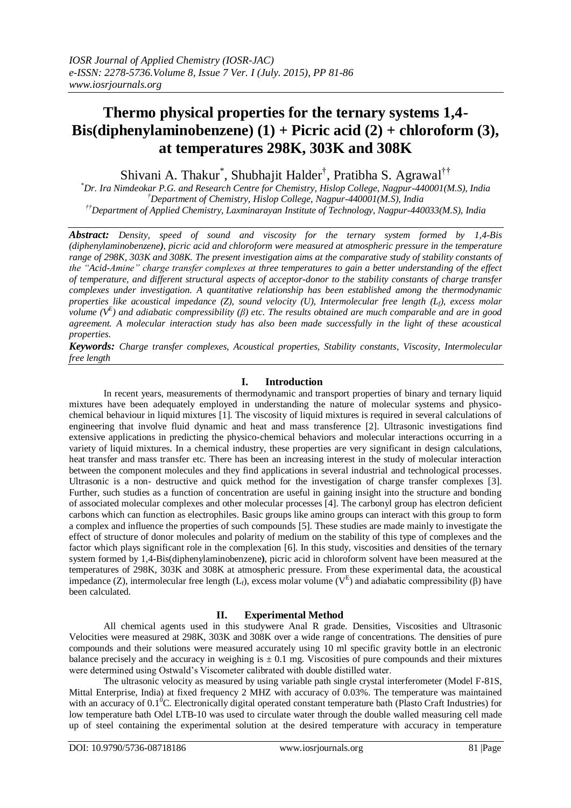# **Thermo physical properties for the ternary systems 1,4- Bis(diphenylaminobenzene) (1) + Picric acid (2) + chloroform (3), at temperatures 298K, 303K and 308K**

Shivani A. Thakur<sup>\*</sup>, Shubhajit Halder<sup>†</sup>, Pratibha S. Agrawal<sup>††</sup>

*\*Dr. Ira Nimdeokar P.G. and Research Centre for Chemistry, Hislop College, Nagpur-440001(M.S), India †Department of Chemistry, Hislop College, Nagpur-440001(M.S), India ††Department of Applied Chemistry, Laxminarayan Institute of Technology, Nagpur-440033(M.S), India*

*Abstract: Density, speed of sound and viscosity for the ternary system formed by 1,4-Bis (diphenylaminobenzene), picric acid and chloroform were measured at atmospheric pressure in the temperature range of 298K, 303K and 308K. The present investigation aims at the comparative study of stability constants of the "Acid-Amine" charge transfer complexes at three temperatures to gain a better understanding of the effect of temperature, and different structural aspects of acceptor-donor to the stability constants of charge transfer complexes under investigation. A quantitative relationship has been established among the thermodynamic properties like acoustical impedance (Z), sound velocity (U), Intermolecular free length (Lf), excess molar volume (V<sup>E</sup> ) and adiabatic compressibility (β) etc. The results obtained are much comparable and are in good agreement. A molecular interaction study has also been made successfully in the light of these acoustical properties.*

*Keywords: Charge transfer complexes, Acoustical properties, Stability constants, Viscosity, Intermolecular free length*

## **I. Introduction**

In recent years, measurements of thermodynamic and transport properties of binary and ternary liquid mixtures have been adequately employed in understanding the nature of molecular systems and physicochemical behaviour in liquid mixtures [1]. The viscosity of liquid mixtures is required in several calculations of engineering that involve fluid dynamic and heat and mass transference [2]. Ultrasonic investigations find extensive applications in predicting the physico-chemical behaviors and molecular interactions occurring in a variety of liquid mixtures. In a chemical industry, these properties are very significant in design calculations, heat transfer and mass transfer etc. There has been an increasing interest in the study of molecular interaction between the component molecules and they find applications in several industrial and technological processes. Ultrasonic is a non- destructive and quick method for the investigation of charge transfer complexes [3]. Further, such studies as a function of concentration are useful in gaining insight into the structure and bonding of associated molecular complexes and other molecular processes [4]. The carbonyl group has electron deficient carbons which can function as electrophiles. Basic groups like amino groups can interact with this group to form a complex and influence the properties of such compounds [5]. These studies are made mainly to investigate the effect of structure of donor molecules and polarity of medium on the stability of this type of complexes and the factor which plays significant role in the complexation [6]. In this study, viscosities and densities of the ternary system formed by 1,4-Bis(diphenylaminobenzene**)**, picric acid in chloroform solvent have been measured at the temperatures of 298K, 303K and 308K at atmospheric pressure. From these experimental data, the acoustical impedance (Z), intermolecular free length ( $L_f$ ), excess molar volume ( $V^E$ ) and adiabatic compressibility ( $\beta$ ) have been calculated.

## **II. Experimental Method**

All chemical agents used in this studywere Anal R grade. Densities, Viscosities and Ultrasonic Velocities were measured at 298K, 303K and 308K over a wide range of concentrations. The densities of pure compounds and their solutions were measured accurately using 10 ml specific gravity bottle in an electronic balance precisely and the accuracy in weighing is  $\pm$  0.1 mg. Viscosities of pure compounds and their mixtures were determined using Ostwald's Viscometer calibrated with double distilled water.

The ultrasonic velocity as measured by using variable path single crystal interferometer (Model F-81S, Mittal Enterprise, India) at fixed frequency 2 MHZ with accuracy of 0.03%. The temperature was maintained with an accuracy of  $0.1^{\circ}$ C. Electronically digital operated constant temperature bath (Plasto Craft Industries) for low temperature bath Odel LTB-10 was used to circulate water through the double walled measuring cell made up of steel containing the experimental solution at the desired temperature with accuracy in temperature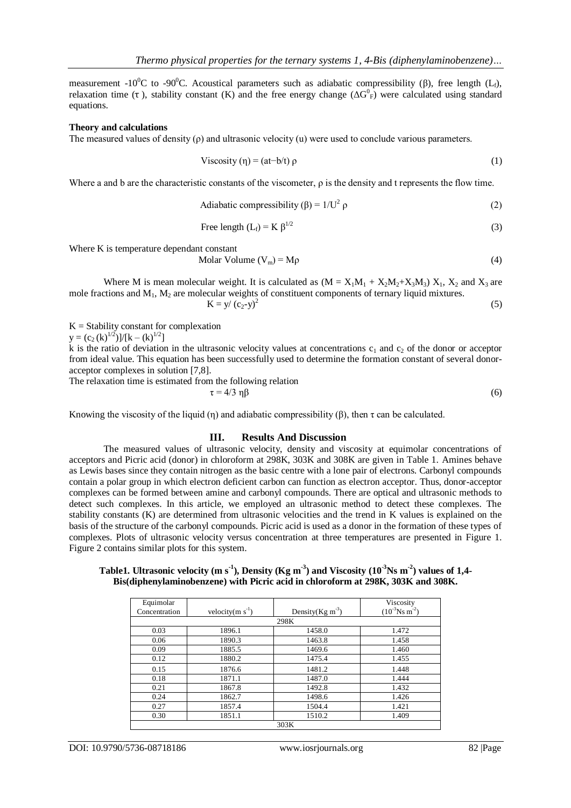measurement -10<sup>o</sup>C to -90<sup>o</sup>C. Acoustical parameters such as adiabatic compressibility (β), free length (L<sub>t</sub>), relaxation time (τ), stability constant (K) and the free energy change ( $\Delta G_F^0$ ) were calculated using standard equations.

#### **Theory and calculations**

The measured values of density (ρ) and ultrasonic velocity (u) were used to conclude various parameters.

Viscosity 
$$
(\eta) = (at-b/t) \rho
$$
 (1)

Where a and b are the characteristic constants of the viscometer, ρ is the density and t represents the flow time.

$$
Adiabatic compressibility (\beta) = 1/U^2 \rho
$$
 (2)

Free length 
$$
(L_f) = K \beta^{1/2}
$$
 (3)

Where K is temperature dependant constant

Molar Volume ( $V_m$ ) = M $\rho$  (4)

Where M is mean molecular weight. It is calculated as  $(M = X_1M_1 + X_2M_2+X_3M_3) X_1, X_2$  and  $X_3$  are mole fractions and  $M_1$ ,  $M_2$  are molecular weights of constituent components of ternary liquid mixtures.

$$
K = y/(c_2 - y)^2
$$
 (5)

 $K =$  Stability constant for complexation

 $y = (c_2 (k)^{1/2})$ ]/[k – (k)<sup>1/2</sup>]

k is the ratio of deviation in the ultrasonic velocity values at concentrations  $c_1$  and  $c_2$  of the donor or acceptor from ideal value. This equation has been successfully used to determine the formation constant of several donoracceptor complexes in solution [7,8].

The relaxation time is estimated from the following relation

$$
\tau = 4/3 \eta \beta \tag{6}
$$

Knowing the viscosity of the liquid (η) and adiabatic compressibility ( $\beta$ ), then  $\tau$  can be calculated.

#### **III. Results And Discussion**

The measured values of ultrasonic velocity, density and viscosity at equimolar concentrations of acceptors and Picric acid (donor) in chloroform at 298K, 303K and 308K are given in Table 1. Amines behave as Lewis bases since they contain nitrogen as the basic centre with a lone pair of electrons. Carbonyl compounds contain a polar group in which electron deficient carbon can function as electron acceptor. Thus, donor-acceptor complexes can be formed between amine and carbonyl compounds. There are optical and ultrasonic methods to detect such complexes. In this article, we employed an ultrasonic method to detect these complexes. The stability constants (K) are determined from ultrasonic velocities and the trend in K values is explained on the basis of the structure of the carbonyl compounds. Picric acid is used as a donor in the formation of these types of complexes. Plots of ultrasonic velocity versus concentration at three temperatures are presented in Figure 1. Figure 2 contains similar plots for this system.

**Table1. Ultrasonic velocity (m s-1 ), Density (Kg m-3 ) and Viscosity (10-3Ns m-2 ) values of 1,4- Bis(diphenylaminobenzene) with Picric acid in chloroform at 298K, 303K and 308K.**

| Equimolar     |                    |                          | Viscosity                       |  |
|---------------|--------------------|--------------------------|---------------------------------|--|
| Concentration | velocity $(m s-1)$ | Density $(Kg \, m^{-3})$ | $(10^{-3}$ Ns m <sup>-2</sup> ) |  |
|               |                    | 298K                     |                                 |  |
| 0.03          | 1896.1             | 1458.0                   | 1.472                           |  |
| 0.06          | 1890.3             | 1463.8                   | 1.458                           |  |
| 0.09          | 1885.5             | 1469.6                   | 1.460                           |  |
| 0.12          | 1880.2             | 1475.4                   | 1.455                           |  |
| 0.15          | 1876.6             | 1481.2                   | 1.448                           |  |
| 0.18          | 1871.1             | 1487.0                   | 1.444                           |  |
| 0.21          | 1867.8             | 1492.8                   | 1.432                           |  |
| 0.24          | 1862.7             | 1498.6                   | 1.426                           |  |
| 0.27          | 1857.4             | 1504.4                   | 1.421                           |  |
| 0.30          | 1851.1             | 1510.2                   | 1.409                           |  |
| 303K          |                    |                          |                                 |  |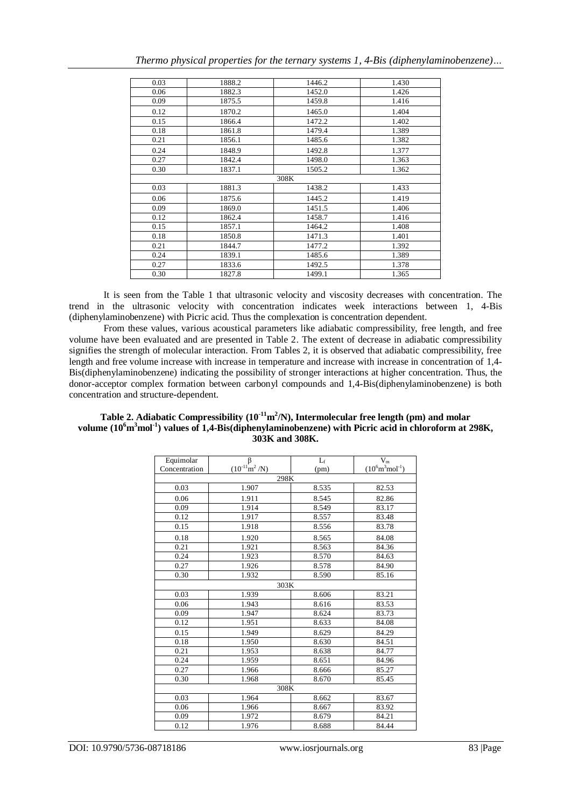|  |  |  |  |  |  | Thermo physical properties for the ternary systems 1, 4-Bis (diphenylaminobenzene) |
|--|--|--|--|--|--|------------------------------------------------------------------------------------|
|--|--|--|--|--|--|------------------------------------------------------------------------------------|

| 0.03 | 1888.2 | 1446.2 | 1.430 |
|------|--------|--------|-------|
| 0.06 | 1882.3 | 1452.0 | 1.426 |
| 0.09 | 1875.5 | 1459.8 | 1.416 |
| 0.12 | 1870.2 | 1465.0 | 1.404 |
| 0.15 | 1866.4 | 1472.2 | 1.402 |
| 0.18 | 1861.8 | 1479.4 | 1.389 |
| 0.21 | 1856.1 | 1485.6 | 1.382 |
| 0.24 | 1848.9 | 1492.8 | 1.377 |
| 0.27 | 1842.4 | 1498.0 | 1.363 |
| 0.30 | 1837.1 | 1505.2 | 1.362 |
|      |        | 308K   |       |
| 0.03 | 1881.3 | 1438.2 | 1.433 |
| 0.06 | 1875.6 | 1445.2 | 1.419 |
| 0.09 | 1869.0 | 1451.5 | 1.406 |
| 0.12 | 1862.4 | 1458.7 | 1.416 |
| 0.15 | 1857.1 | 1464.2 | 1.408 |
| 0.18 | 1850.8 | 1471.3 | 1.401 |
| 0.21 | 1844.7 | 1477.2 | 1.392 |
| 0.24 | 1839.1 | 1485.6 | 1.389 |
| 0.27 | 1833.6 | 1492.5 | 1.378 |
| 0.30 | 1827.8 | 1499.1 | 1.365 |
|      |        |        |       |

It is seen from the Table 1 that ultrasonic velocity and viscosity decreases with concentration. The trend in the ultrasonic velocity with concentration indicates week interactions between 1, 4-Bis (diphenylaminobenzene) with Picric acid. Thus the complexation is concentration dependent.

From these values, various acoustical parameters like adiabatic compressibility, free length, and free volume have been evaluated and are presented in Table 2. The extent of decrease in adiabatic compressibility signifies the strength of molecular interaction. From Tables 2, it is observed that adiabatic compressibility, free length and free volume increase with increase in temperature and increase with increase in concentration of 1,4-Bis(diphenylaminobenzene) indicating the possibility of stronger interactions at higher concentration. Thus, the donor-acceptor complex formation between carbonyl compounds and 1,4-Bis(diphenylaminobenzene) is both concentration and structure-dependent.

| Table 2. Adiabatic Compressibility $(10^{-11} \text{m}^2/\text{N})$ , Intermolecular free length (pm) and molar            |
|----------------------------------------------------------------------------------------------------------------------------|
| volume $(10^6 \text{m}^3 \text{mol}^{-1})$ values of 1,4-Bis(diphenylaminobenzene) with Picric acid in chloroform at 298K, |
| 303K and 308K.                                                                                                             |

| Equimolar     | β                                | $L_f$ | $V_m$                               |  |  |
|---------------|----------------------------------|-------|-------------------------------------|--|--|
| Concentration | $(10^{-11} \text{m}^2/\text{N})$ | (pm)  | $(10^6 \text{m}^3 \text{mol}^{-1})$ |  |  |
|               | 298K                             |       |                                     |  |  |
| 0.03          | 1.907                            | 8.535 | 82.53                               |  |  |
| 0.06          | 1.911                            | 8.545 | 82.86                               |  |  |
| 0.09          | 1.914                            | 8.549 | 83.17                               |  |  |
| 0.12          | 1.917                            | 8.557 | 83.48                               |  |  |
| 0.15          | 1.918                            | 8.556 | 83.78                               |  |  |
| 0.18          | 1.920                            | 8.565 | 84.08                               |  |  |
| 0.21          | 1.921                            | 8.563 | 84.36                               |  |  |
| 0.24          | 1.923                            | 8.570 | 84.63                               |  |  |
| 0.27          | 1.926                            | 8.578 | 84.90                               |  |  |
| 0.30          | 1.932                            | 8.590 | 85.16                               |  |  |
| 303K          |                                  |       |                                     |  |  |
| 0.03          | 1.939                            | 8.606 | 83.21                               |  |  |
| 0.06          | 1.943                            | 8.616 | 83.53                               |  |  |
| 0.09          | 1.947                            | 8.624 | 83.73                               |  |  |
| 0.12          | 1.951                            | 8.633 | 84.08                               |  |  |
| 0.15          | 1.949                            | 8.629 | 84.29                               |  |  |
| 0.18          | 1.950                            | 8.630 | 84.51                               |  |  |
| 0.21          | 1.953                            | 8.638 | 84.77                               |  |  |
| 0.24          | 1.959                            | 8.651 | 84.96                               |  |  |
| 0.27          | 1.966                            | 8.666 | 85.27                               |  |  |
| 0.30          | 1.968                            | 8.670 | 85.45                               |  |  |
| 308K          |                                  |       |                                     |  |  |
| 0.03          | 1.964                            | 8.662 | 83.67                               |  |  |
| 0.06          | 1.966                            | 8.667 | 83.92                               |  |  |
| 0.09          | 1.972                            | 8.679 | 84.21                               |  |  |
| 0.12          | 1.976                            | 8.688 | 84.44                               |  |  |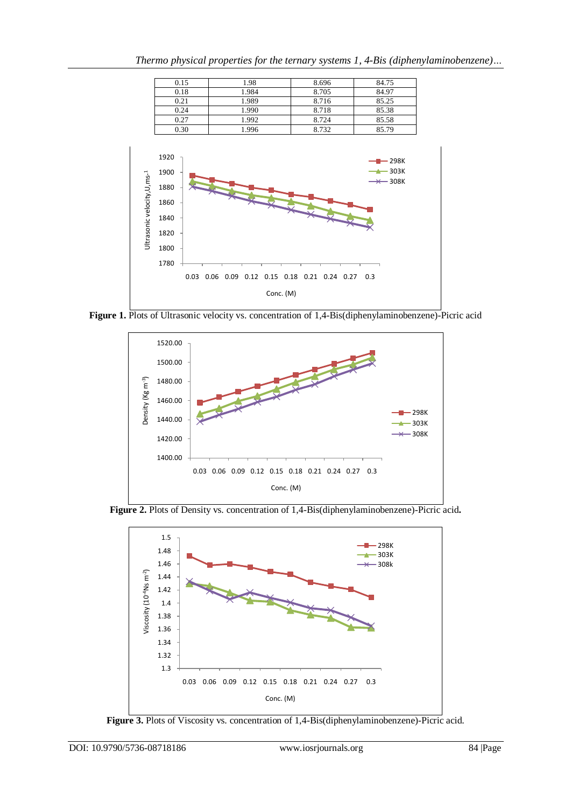| 0.15 | 1.98  | 8.696 | 84.75 |
|------|-------|-------|-------|
| 0.18 | 1.984 | 8.705 | 84.97 |
| 0.21 | 1.989 | 8.716 | 85.25 |
| 0.24 | 1.990 | 8.718 | 85.38 |
| 0.27 | 1.992 | 8.724 | 85.58 |
| 0.30 | 1.996 | 8.732 | 85.79 |
|      |       |       |       |



**Figure 1.** Plots of Ultrasonic velocity vs. concentration of 1,4-Bis(diphenylaminobenzene)-Picric acid



**Figure 2.** Plots of Density vs. concentration of 1,4-Bis(diphenylaminobenzene)-Picric acid**.**



**Figure 3.** Plots of Viscosity vs. concentration of 1,4-Bis(diphenylaminobenzene)-Picric acid.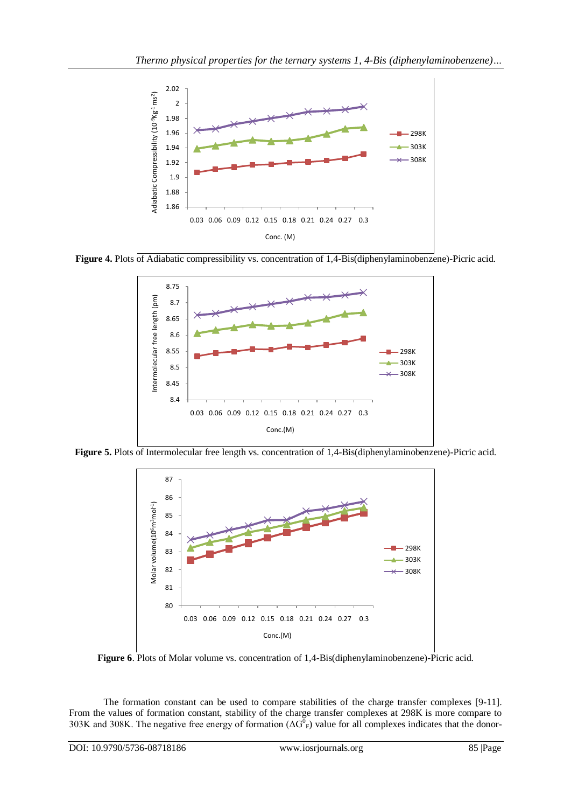

Figure 4. Plots of Adiabatic compressibility vs. concentration of 1,4-Bis(diphenylaminobenzene)-Picric acid.



**Figure 5.** Plots of Intermolecular free length vs. concentration of 1,4-Bis(diphenylaminobenzene)-Picric acid.



**Figure 6**. Plots of Molar volume vs. concentration of 1,4-Bis(diphenylaminobenzene)-Picric acid.

The formation constant can be used to compare stabilities of the charge transfer complexes [9-11]. From the values of formation constant, stability of the charge transfer complexes at 298K is more compare to 303K and 308K. The negative free energy of formation ( $\Delta G^{\bar{0}}_F$ ) value for all complexes indicates that the donor